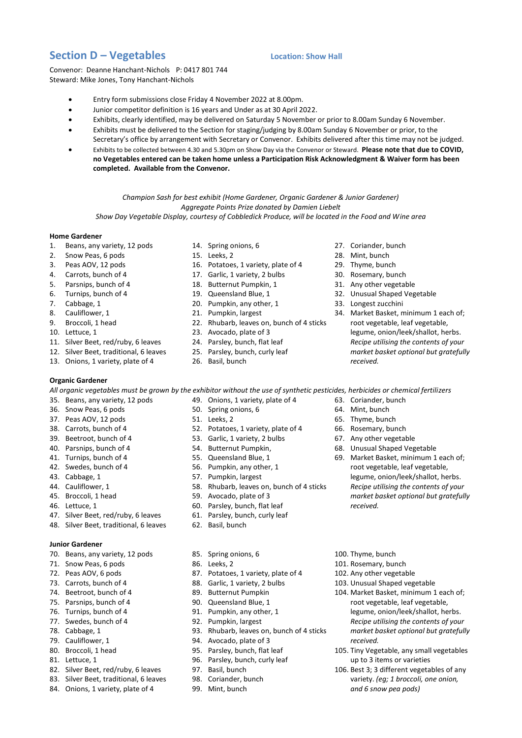## **Section D – Vegetables Location: Show Hall**

Convenor: Deanne Hanchant-Nichols P: 0417 801 744 Steward: Mike Jones, Tony Hanchant-Nichols

- Entry form submissions close Friday 4 November 2022 at 8.00pm.
- Junior competitor definition is 16 years and Under as at 30 April 2022.
- Exhibits, clearly identified, may be delivered on Saturday 5 November or prior to 8.00am Sunday 6 November.
- Exhibits must be delivered to the Section for staging/judging by 8.00am Sunday 6 November or prior, to the Secretary's office by arrangement with Secretary or Convenor. Exhibits delivered after this time may not be judged.
- Exhibits to be collected between 4.30 and 5.30pm on Show Day via the Convenor or Steward. **Please note that due to COVID, no Vegetables entered can be taken home unless a Participation Risk Acknowledgment & Waiver form has been completed. Available from the Convenor.**

*Champion Sash for best exhibit (Home Gardener, Organic Gardener & Junior Gardener) Aggregate Points Prize donated by Damien Liebelt*

*Show Day Vegetable Display, courtesy of Cobbledick Produce, will be located in the Food and Wine area*

## **Home Gardener**

- 1. Beans, any variety, 12 pods
- 2. Snow Peas, 6 pods
- 3. Peas AOV, 12 pods
- 4. Carrots, bunch of 4
- 5. Parsnips, bunch of 4
- 6. Turnips, bunch of 4
- 7. Cabbage, 1
- 8. Cauliflower, 1
- 9. Broccoli, 1 head
- 10. Lettuce, 1
- 11. Silver Beet, red/ruby, 6 leaves
- 12. Silver Beet, traditional, 6 leaves
- 13. Onions, 1 variety, plate of 4
- **Organic Gardener**
- 14. Spring onions, 6 15. Leeks, 2
- 
- 16. Potatoes, 1 variety, plate of 4
- 17. Garlic, 1 variety, 2 bulbs
- 18. Butternut Pumpkin, 1
- 19. Queensland Blue, 1
- 20. Pumpkin, any other, 1
- 21. Pumpkin, largest
- 22. Rhubarb, leaves on, bunch of 4 sticks
- 23. Avocado, plate of 3
- 24. Parsley, bunch, flat leaf
- 25. Parsley, bunch, curly leaf
- 26. Basil, bunch
- *All organic vegetables must be grown by the exhibitor without the use of synthetic pesticides, herbicides or chemical fertilizers*
- 35. Beans, any variety, 12 pods
- 36. Snow Peas, 6 pods
- 37. Peas AOV, 12 pods
- 38. Carrots, bunch of 4
- 39. Beetroot, bunch of 4
- 40. Parsnips, bunch of 4
- 41. Turnips, bunch of 4
- 42. Swedes, bunch of 4
- 43. Cabbage, 1
- 44. Cauliflower, 1
- 45. Broccoli, 1 head
- 46. Lettuce, 1
- 47. Silver Beet, red/ruby, 6 leaves
- 48. Silver Beet, traditional, 6 leaves

## **Junior Gardener**

- 70. Beans, any variety, 12 pods
- 71. Snow Peas, 6 pods
- 72. Peas AOV, 6 pods
- 73. Carrots, bunch of 4
- 74. Beetroot, bunch of 4
- 75. Parsnips, bunch of 4
- 76. Turnips, bunch of 4
- 77. Swedes, bunch of 4
- 78. Cabbage, 1
- 79. Cauliflower, 1
- 80. Broccoli, 1 head
- 81. Lettuce, 1
- 82. Silver Beet, red/ruby, 6 leaves
- 83. Silver Beet, traditional, 6 leaves
- 84. Onions, 1 variety, plate of 4
- 49. Onions, 1 variety, plate of 4
- 50. Spring onions, 6
- 51. Leeks, 2
- 52. Potatoes, 1 variety, plate of 4
- 53. Garlic, 1 variety, 2 bulbs
- 54. Butternut Pumpkin,
- 55. Queensland Blue, 1
- 56. Pumpkin, any other, 1
- 57. Pumpkin, largest
- 58. Rhubarb, leaves on, bunch of 4 sticks
- 59. Avocado, plate of 3
- 60. Parsley, bunch, flat leaf
- 61. Parsley, bunch, curly leaf
- 62. Basil, bunch
- 85. Spring onions, 6
- 86. Leeks, 2
- 87. Potatoes, 1 variety, plate of 4
- 88. Garlic, 1 variety, 2 bulbs
- 89. Butternut Pumpkin
- 90. Queensland Blue, 1
- 91. Pumpkin, any other, 1
- 92. Pumpkin, largest
- 93. Rhubarb, leaves on, bunch of 4 sticks
- 94. Avocado, plate of 3
- 95. Parsley, bunch, flat leaf
- 96. Parsley, bunch, curly leaf
- 97. Basil, bunch
- 98. Coriander, bunch
- 99. Mint, bunch

27. Coriander, bunch

31. Any other vegetable 32. Unusual Shaped Vegetable

34. Market Basket, minimum 1 each of; root vegetable, leaf vegetable, legume, onion/leek/shallot, herbs. *Recipe utilising the contents of your market basket optional but gratefully*

33. Longest zucchini

*received.*

63. Coriander, bunch 64. Mint, bunch 65. Thyme, bunch 66. Rosemary, bunch 67. Any other vegetable 68. Unusual Shaped Vegetable 69. Market Basket, minimum 1 each of; root vegetable, leaf vegetable, legume, onion/leek/shallot, herbs. *Recipe utilising the contents of your market basket optional but gratefully*

*received.*

100. Thyme, bunch 101. Rosemary, bunch 102. Any other vegetable 103. Unusual Shaped vegetable

*received.*

104. Market Basket, minimum 1 each of; root vegetable, leaf vegetable, legume, onion/leek/shallot, herbs. *Recipe utilising the contents of your market basket optional but gratefully*

105. Tiny Vegetable, any small vegetables up to 3 items or varieties 106. Best 3; 3 different vegetables of any variety. *(eg; 1 broccoli, one onion,*

*and 6 snow pea pods)*

- 28. Mint, bunch
- 29. Thyme, bunch 30. Rosemary, bunch